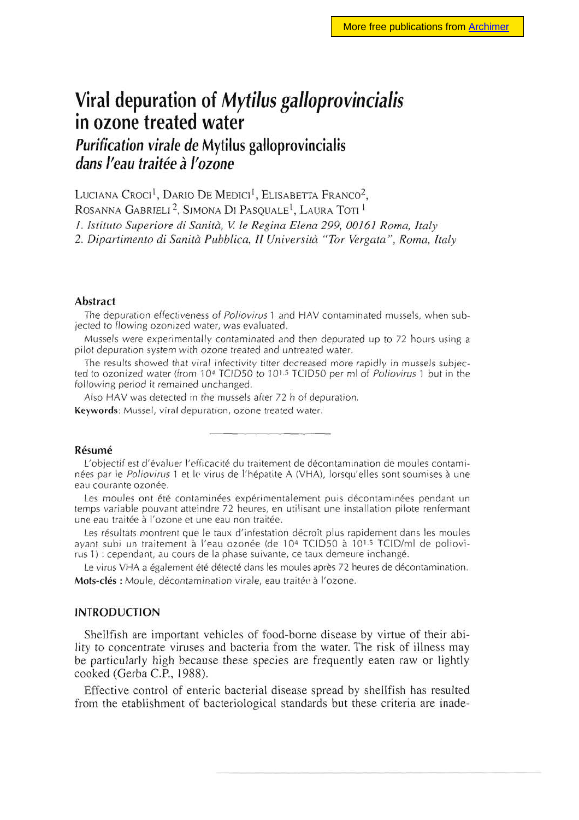# **Viral depuration of Mytilus galloprovincialis in ozone treated water**

# **Purification virale de Mytilus galloprovincialis dans l'eau traitée à l'ozone**

LUCIANA CROCI<sup>1</sup>, DARIO DE MEDICI<sup>1</sup>, ELISABETTA FRANCO<sup>2</sup>,

ROSANNA GABRIELI<sup>2</sup>, SIMONA DI PASQUALE<sup>1</sup>, LAURA TOTI<sup>1</sup>

I. Istituto Superiore di Sanità, V. le Regina Elena 299, 00161 Roma, Italy

2. Dipartimento di Sanità Pubblica, II Università "Tor Vergata", Roma, Italy

#### Abstract

The depuration effectiveness of Poliovirus 1 and HAV contaminated mussels, when subjected to flowing ozonized water, was evaluated.

Mussels were experimentally contaminated and then depurated up to 72 hours using a pilot depuration system with ozone treated and untreated water.

The results showed that viral infectivity titter decreased more rapidly in mussels subjected to ozonized water (from 10<sup>4</sup> TCID50 to 10<sup>1,5</sup> TCID50 per ml of Poliovirus 1 but in the following period it remained unchanged.

Also HAV was detected in the mussels after 72 h of depuration.

**Keywords:** Mussel, viral depuration, ozone treated water.

#### **Résumé**

L'objectif est d'évaluer l'efficacité du traitement de décontamination de moules contaminées par le Poliovirus 1 et le virus de l'hépatite A (VHA), lorsqu'elles sont soumises à une eau courante ozonée.

Les moules ont été contaminées expérimentalement puis décontaminées pendant un temps variable pouvant atteindre 72 heures, en utilisant une installation pilote renfermant une eau traitée à l'ozone et une eau non traitée.

Les résultats montrent que le taux d'infestation décroît plus rapidement dans les moules ayant subi un traitement à l'eau ozonée (de 104 TCID50 à 1015 TCID/ml de poliovirus 1) : cependant, au cours de la phase suivante, ce taux demeure inchangé.

Le virus VHA a également été détecté dans les moules après 72 heures de décontamination. **Mots-clés :** Moule, décontamination virale, eau traitée à l'ozone.

## INTRODUCTION

Shellfish are important vehicles of food-borne disease by virtue of their ability to concentrate viruses and bacteria from the water. The risk of illness may be particularly high because these species are frequently eaten raw or lightly cooked (Gerba C.P., 1988).

Effective control of enteric bacterial disease spread by shellfish has resulted from the etablishment of bacteriological standards but these criteria are inade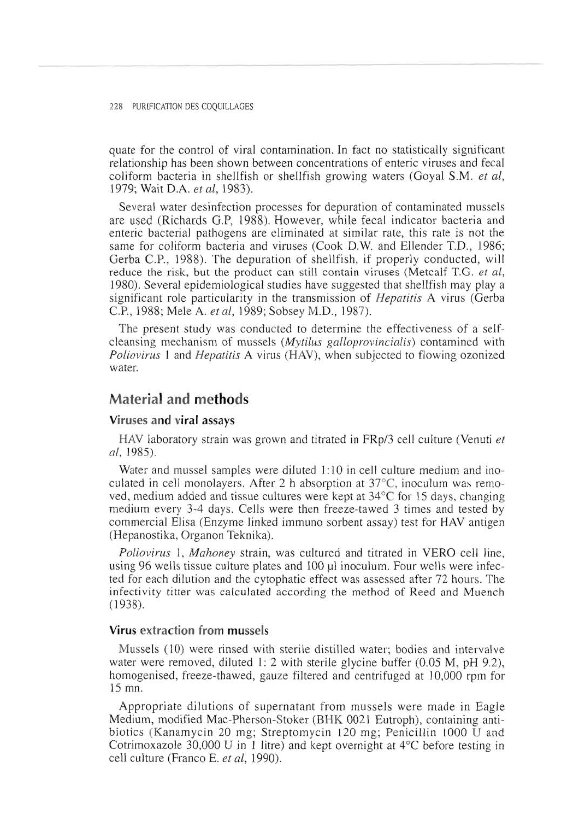quate for the control of viral contamination. In fact no statistically significant relationship has been shown between concentrations of enteric viruses and fecal coliform bacteria in shellfish or shellfish growing waters (Goyal S.M. et al, 1979; Wait D.A. et al, 1983).

Several water desinfection processes for depuration of contaminated mussels are used (Richards G.P, 1988). However, while fecal indicator bacteria and enteric bacterial pathogens are eliminated at similar rate, this rate is not the same for coliform bacteria and viruses (Cook D.W. and Ellender T.D., 1986; Gerba C.P., 1988). The depuration of shellfish, if properly conducted, will reduce the risk, but the product can still contain viruses (Metcalf T.G. et al, 1980). Several epidemiological studies have suggested that shellfish may play a significant role particularity in the transmission of *Hepatitis* A virus (Gerba C.P., 1988; Mele A. et al, 1989; Sobsey M.D., 1987).

The present study was conducted to determine the effectiveness of a selfcleansing mechanism of mussels (Mytilus galloprovincialis) contamined with Poliovirus 1 and Hepatitis A virus (HAV), when subjected to flowing ozonized water.

# **Material and methods**

# **Viruses and viral assays**

HAV laboratory strain was grown and titrated in FRp/3 cell culture (Venuti et al, 1985).

Water and mussel samples were diluted 1:10 in cell culture medium and inoculated in cell monolayers. After 2 h absorption at 37°C, inoculum was removed, medium added and tissue cultures were kept at 34°C for 15 days, changing medium every 3-4 days. Cells were then freeze-tawed 3 times and tested by commercial Elisa (Enzyme linked immuno sorbent assay) test for HAV antigen (Hepanostika, Organon Teknika).

Poliovirus 1, Mahoney strain, was cultured and titrated in VERO cell line, using 96 wells tissue culture plates and 100 pl inoculum. Four wells were infected for each dilution and the cytophatic effect was assessed after 72 hours. The infectivity titter was calculated according the method of Reed and Muench (1938).

# **Virus extraction from mussels**

Mussels (10) were rinsed with sterile distilled water; bodies and intervalve water were removed, diluted 1: 2 with sterile glycine buffer (0.05 M, pH 9.2), homogenised, freeze-thawed, gauze filtered and centrifuged at 10,000 rpm for 15 mn.

Appropriate dilutions of supernatant from mussels were made in Eagle Medium, modified Mac-Pherson-Stoker (BHK 0021 Eutroph), containing antibiotics (Kanamycin 20 mg; Streptomycin 120 mg; Penicillin 1000 U and Cotrimoxazole 30,000 U in 1 litre) and kept overnight at 4°C before testing in cell culture (Franco E. et al, 1990).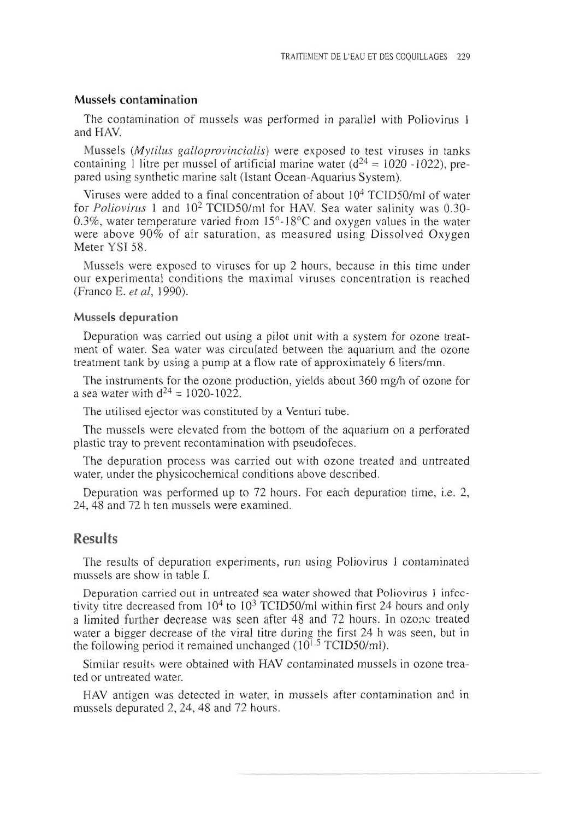# **Mussels contamination**

The contamination of mussels was performed in parallel with Poliovirus 1 and HAV.

Mussels (Mytilus galloprovincialis) were exposed to test viruses in tanks containing 1 litre per mussel of artificial marine water  $(d^{24} = 1020 - 1022)$ , prepared using synthetic marine salt (Istant Ocean-Aquarius System).

Viruses were added to a final concentration of about  $10<sup>4</sup>$  TCID50/ml of water for Poliovirus 1 and 102 TCID50/m1 for HAV. Sea water salinity was 0.30- 0.3%, water temperature varied from  $15^{\circ}$ -18°C and oxygen values in the water were above 90% of air saturation, as measured using Dissolved Oxygen Meter YSI 58.

Mussels were exposed to viruses for up 2 hours, because in this time under our experimental conditions the maximal viruses concentration is reached (Franco E. et al, 1990).

#### **Mussels depuration**

Depuration was carried out using a pilot unit with a system for ozone treatment of water. Sea water was circulated between the aquarium and the ozone treatment tank by using a pump at a flow rate of approximately 6 liters/mn.

The instruments for the ozone production, yields about 360 mg/h of ozone for a sea water with  $d^{24} = 1020 - 1022$ .

The utilised ejector was constituted by a Venturi tube.

The mussels were elevated from the bottom of the aquarium on a perforated plastic tray to prevent recontamination with pseudofeces.

The depuration process was carried out with ozone treated and untreated water, under the physicochemical conditions above described.

Depuration was performed up to 72 hours. For each depuration time, i.e. 2, 24, 48 and 72 h ten mussels were examined.

# **Results**

The results of depuration experiments, run using Poliovirus 1 contaminated mussels are show in table I.

Depuration carried out in untreated sea water showed that Poliovirus I infectivity titre decreased from  $10^4$  to  $10^3$  TCID50/ml within first 24 hours and only a limited further decrease was seen after 48 and 72 hours. In ozone treated water a bigger decrease of the viral titre during the first 24 h was seen, but in the following period it remained unchanged ( $10^{1.5}$  TCID50/ml).

Similar results were obtained with HAV contaminated mussels in ozone treated or untreated water.

HAV antigen was detected in water, in mussels after contamination and in mussels depurated 2, 24, 48 and 72 hours.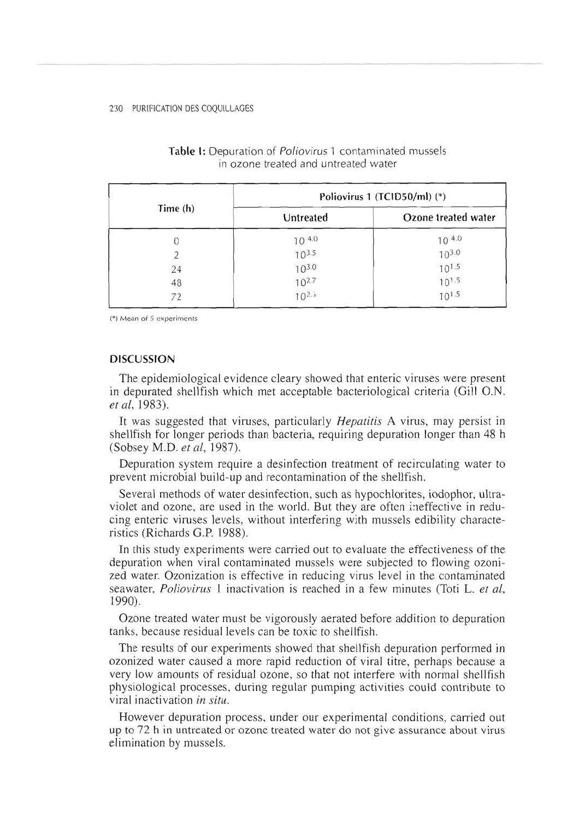| Time (h) | Poliovirus 1 (TCID50/ml) (*) |                          |
|----------|------------------------------|--------------------------|
|          | Untreated                    | Ozone treated water      |
|          | 10 4.0                       |                          |
|          | $10^{3.5}$                   | $10^{4.0}$<br>$10^{3.0}$ |
| 24       | $10^{3.0}$                   | $10^{1.5}$               |
| 48       | $10^{2.7}$                   | $10^{1.5}$               |
| 72       | $10^{2.5}$                   | $10^{1.5}$               |

## **Table** I: Depuration of Poliovirus 1 contaminated mussels in ozone treated and untreated water

(\*) Mean of 5 experiments

#### **DISCUSSION**

The epidemiological evidence cleary showed that enteric viruses were present in depurated shellfish which met acceptable bacteriological criteria (Gill O.N. et al, 1983).

It was suggested that viruses, particularly *Hepatitis* A virus, may persist in shellfish for longer periods than bacteria, requiring depuration longer than 48 h (Sobsey M.D. et al, 1987).

Depuration system require a desinfection treatment of recirculating water to prevent microbial build-up and recontamination of the shellfish.

Several methods of water desinfection, such as hypochlorites, iodophor, ultraviolet and ozone, are used in the world. But they are often ineffective in reducing enteric viruses levels, without interfering with mussels edibility characteristics (Richards G.P. 1988).

In this study experiments were carried out to evaluate the effectiveness of the depuration when viral contaminated mussels were subjected to flowing ozonized water. Ozonization is effective in reducing virus level in the contaminated seawater, *Poliovirus* 1 inactivation is reached in a few minutes (Toti L. et al, 1990).

Ozone treated water must be vigorously aerated before addition to depuration tanks, because residual levels can be toxic to shellfish.

The results of our experiments showed that shellfish depuration performed in ozonized water caused a more rapid reduction of viral titre, perhaps because a very low amounts of residual ozone, so that not interfere with normal shellfish physiological processes, during regular pumping activities could contribute to viral inactivation in situ.

However depuration process, under our experimental conditions, carried out up to 72 h in untreated or ozone treated water do not give assurance about virus elimination by mussels.